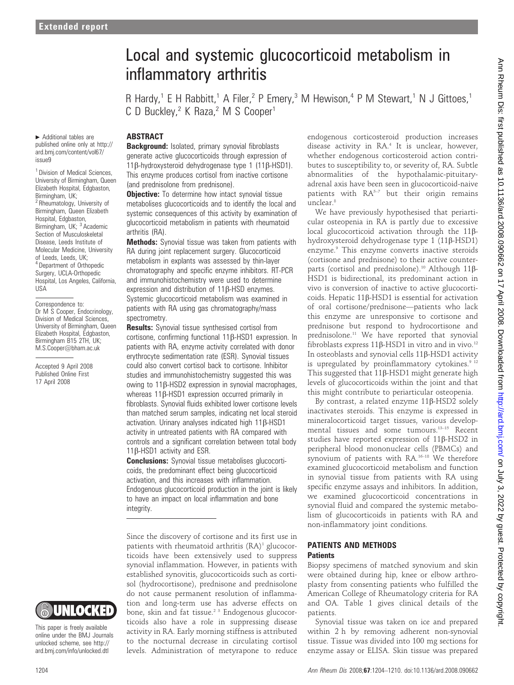$\blacktriangleright$  Additional tables are published online only at http:// ard.bmj.com/content/vol67/ issue9

<sup>1</sup> Division of Medical Sciences University of Birmingham, Queen Elizabeth Hospital, Edgbaston, Birmingham, UK; <sup>2</sup> Rheumatology, University of Birmingham, Queen Elizabeth Hospital, Edgbaston, Birmingham, UK; <sup>3</sup> Academic Section of Musculoskeletal Disease, Leeds Institute of Molecular Medicine, University of Leeds, Leeds, UK; <sup>4</sup> Department of Orthopedic Surgery, UCLA-Orthopedic Hospital, Los Angeles, California, USA

Correspondence to: Dr M S Cooper, Endocrinology, Division of Medical Sciences, University of Birmingham, Queen Elizabeth Hospital, Edgbaston, Birmingham B15 2TH, UK; M.S.Cooper@bham.ac.uk

Accepted 9 April 2008 Published Online First 17 April 2008



This paper is freely available online under the BMJ Journals unlocked scheme, see http:// ard.bmj.com/info/unlocked.dtl

# Local and systemic glucocorticoid metabolism in inflammatory arthritis

R Hardy,<sup>1</sup> E H Rabbitt,<sup>1</sup> A Filer,<sup>2</sup> P Emery,<sup>3</sup> M Hewison,<sup>4</sup> P M Stewart,<sup>1</sup> N J Gittoes,<sup>1</sup> C D Buckley,<sup>2</sup> K Raza,<sup>2</sup> M S Cooper<sup>1</sup>

# ABSTRACT

**Background:** Isolated, primary synovial fibroblasts generate active glucocorticoids through expression of 11b-hydroxysteroid dehydrogenase type 1 (11b-HSD1). This enzyme produces cortisol from inactive cortisone (and prednisolone from prednisone).

**Objective:** To determine how intact synovial tissue metabolises glucocorticoids and to identify the local and systemic consequences of this activity by examination of glucocorticoid metabolism in patients with rheumatoid arthritis (RA).

**Methods:** Synovial tissue was taken from patients with RA during joint replacement surgery. Glucocorticoid metabolism in explants was assessed by thin-layer chromatography and specific enzyme inhibitors. RT-PCR and immunohistochemistry were used to determine expression and distribution of  $11\beta$ -HSD enzymes. Systemic glucocorticoid metabolism was examined in patients with RA using gas chromatography/mass spectrometry.

**Results:** Synovial tissue synthesised cortisol from cortisone, confirming functional 11b-HSD1 expression. In patients with RA, enzyme activity correlated with donor erythrocyte sedimentation rate (ESR). Synovial tissues could also convert cortisol back to cortisone. Inhibitor studies and immunohistochemistry suggested this was owing to 11b-HSD2 expression in synovial macrophages, whereas  $11\beta$ -HSD1 expression occurred primarily in fibroblasts. Synovial fluids exhibited lower cortisone levels than matched serum samples, indicating net local steroid activation. Urinary analyses indicated high 11ß-HSD1 activity in untreated patients with RA compared with controls and a significant correlation between total body  $11\beta$ -HSD1 activity and ESR.

**Conclusions:** Synovial tissue metabolises glucocorticoids, the predominant effect being glucocorticoid activation, and this increases with inflammation. Endogenous glucocorticoid production in the joint is likely to have an impact on local inflammation and bone integrity.

Since the discovery of cortisone and its first use in patients with rheumatoid arthritis  $(RA)^1$  glucocorticoids have been extensively used to suppress synovial inflammation. However, in patients with established synovitis, glucocorticoids such as cortisol (hydrocortisone), prednisone and prednisolone do not cause permanent resolution of inflammation and long-term use has adverse effects on bone, skin and fat tissue.<sup>2 3</sup> Endogenous glucocorticoids also have a role in suppressing disease activity in RA. Early morning stiffness is attributed to the nocturnal decrease in circulating cortisol levels. Administration of metyrapone to reduce endogenous corticosteroid production increases disease activity in RA.<sup>4</sup> It is unclear, however, whether endogenous corticosteroid action contributes to susceptibility to, or severity of, RA. Subtle abnormalities of the hypothalamic-pituitaryadrenal axis have been seen in glucocorticoid-naive patients with  $RA^{5-7}$  but their origin remains unclear.<sup>8</sup>

We have previously hypothesised that periarticular osteopenia in RA is partly due to excessive local glucocorticoid activation through the 11ßhydroxysteroid dehydrogenase type 1 (11b-HSD1) enzyme.9 This enzyme converts inactive steroids (cortisone and prednisone) to their active counterparts (cortisol and prednisolone).<sup>10</sup> Although 11 $\beta$ -HSD1 is bidirectional, its predominant action in vivo is conversion of inactive to active glucocorticoids. Hepatic 11b-HSD1 is essential for activation of oral cortisone/prednisone—patients who lack this enzyme are unresponsive to cortisone and prednisone but respond to hydrocortisone and prednisolone.<sup>11</sup> We have reported that synovial fibroblasts express  $11\beta$ -HSD1 in vitro and in vivo.<sup>12</sup> In osteoblasts and synovial cells 11ß-HSD1 activity is upregulated by proinflammatory cytokines.<sup>9 12</sup> This suggested that  $11\beta$ -HSD1 might generate high levels of glucocorticoids within the joint and that this might contribute to periarticular osteopenia.

By contrast, a related enzyme 11ß-HSD2 solely inactivates steroids. This enzyme is expressed in mineralocorticoid target tissues, various developmental tissues and some tumours.13–15 Recent studies have reported expression of  $11\beta$ -HSD2 in peripheral blood mononuclear cells (PBMCs) and synovium of patients with RA.<sup>16-18</sup> We therefore examined glucocorticoid metabolism and function in synovial tissue from patients with RA using specific enzyme assays and inhibitors. In addition, we examined glucocorticoid concentrations in synovial fluid and compared the systemic metabolism of glucocorticoids in patients with RA and non-inflammatory joint conditions.

#### PATIENTS AND METHODS **Patients**

#### Biopsy specimens of matched synovium and skin were obtained during hip, knee or elbow arthroplasty from consenting patients who fulfilled the American College of Rheumatology criteria for RA and OA. Table 1 gives clinical details of the patients.

Synovial tissue was taken on ice and prepared within 2 h by removing adherent non-synovial tissue. Tissue was divided into 100 mg sections for enzyme assay or ELISA. Skin tissue was prepared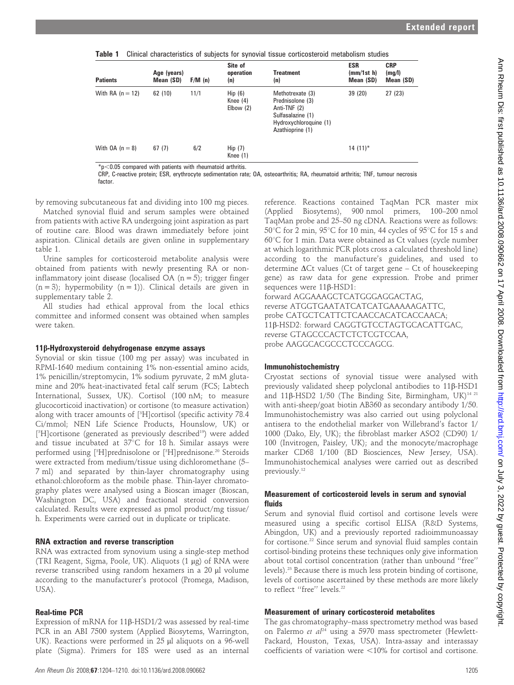| <b>Patients</b>    | Age (years)<br>Mean (SD) | F/M(n) | Site of<br>operation<br>(n)       | <b>Treatment</b><br>(n)                                                                                                 | <b>ESR</b><br>(mm/1st h)<br>Mean (SD) | <b>CRP</b><br>(mg/l)<br>Mean (SD) |
|--------------------|--------------------------|--------|-----------------------------------|-------------------------------------------------------------------------------------------------------------------------|---------------------------------------|-----------------------------------|
| With RA $(n = 12)$ | 62(10)                   | 11/1   | Hip(6)<br>Knee $(4)$<br>Elbow (2) | Methotrexate (3)<br>Prednisolone (3)<br>Anti-TNF (2)<br>Sulfasalazine (1)<br>Hydroxychloroquine (1)<br>Azathioprine (1) | 39 (20)                               | 27(23)                            |
| With $OA (n = 8)$  | 67(7)                    | 6/2    | Hip(7)<br>Knee $(1)$              |                                                                                                                         | $14(11)^*$                            |                                   |

Table 1 Clinical characteristics of subjects for synovial tissue corticosteroid metabolism studies

 $p<sub>0.05</sub>$  compared with patients with rheumatoid arthritis.

CRP, C-reactive protein; ESR, erythrocyte sedimentation rate; OA, osteoarthritis; RA, rheumatoid arthritis; TNF, tumour necrosis factor.

by removing subcutaneous fat and dividing into 100 mg pieces.

Matched synovial fluid and serum samples were obtained from patients with active RA undergoing joint aspiration as part of routine care. Blood was drawn immediately before joint aspiration. Clinical details are given online in supplementary table 1.

Urine samples for corticosteroid metabolite analysis were obtained from patients with newly presenting RA or noninflammatory joint disease (localised  $OA (n = 5)$ ; trigger finger  $(n = 3)$ ; hypermobility  $(n = 1)$ ). Clinical details are given in supplementary table 2.

All studies had ethical approval from the local ethics committee and informed consent was obtained when samples were taken.

# 11b-Hydroxysteroid dehydrogenase enzyme assays

Synovial or skin tissue (100 mg per assay) was incubated in RPMI-1640 medium containing 1% non-essential amino acids, 1% penicillin/streptomycin, 1% sodium pyruvate, 2 mM glutamine and 20% heat-inactivated fetal calf serum (FCS; Labtech International, Sussex, UK). Cortisol (100 nM; to measure glucocorticoid inactivation) or cortisone (to measure activation) along with tracer amounts of [3 H]cortisol (specific activity 78.4 Ci/mmol; NEN Life Science Products, Hounslow, UK) or [<sup>3</sup>H]cortisone (generated as previously described<sup>19</sup>) were added and tissue incubated at  $37^{\circ}$ C for 18 h. Similar assays were performed using [<sup>3</sup>H]prednisolone or [<sup>3</sup>H]prednisone.<sup>20</sup> Steroids were extracted from medium/tissue using dichloromethane (5– 7 ml) and separated by thin-layer chromatography using ethanol:chloroform as the mobile phase. Thin-layer chromatography plates were analysed using a Bioscan imager (Bioscan, Washington DC, USA) and fractional steroid conversion calculated. Results were expressed as pmol product/mg tissue/ h. Experiments were carried out in duplicate or triplicate.

# RNA extraction and reverse transcription

RNA was extracted from synovium using a single-step method (TRI Reagent, Sigma, Poole, UK). Aliquots (1 mg) of RNA were reverse transcribed using random hexamers in a 20 µl volume according to the manufacturer's protocol (Promega, Madison, USA).

# Real-time PCR

Expression of mRNA for  $11\beta$ -HSD1/2 was assessed by real-time PCR in an ABI 7500 system (Applied Biosytems, Warrington, UK). Reactions were performed in 25 µl aliquots on a 96-well plate (Sigma). Primers for 18S were used as an internal

reference. Reactions contained TaqMan PCR master mix (Applied Biosytems), 900 nmol primers, 100–200 nmol TaqMan probe and 25–50 ng cDNA. Reactions were as follows: 50 °C for 2 min, 95 °C for 10 min, 44 cycles of 95 °C for 15 s and  $60^{\circ}$ C for 1 min. Data were obtained as Ct values (cycle number at which logarithmic PCR plots cross a calculated threshold line) according to the manufacture's guidelines, and used to determine  $\Delta$ Ct values (Ct of target gene – Ct of housekeeping gene) as raw data for gene expression. Probe and primer sequences were 11β-HSD1:

forward AGGAAAGCTCATGGGAGGACTAG, reverse ATGGTGAATATCATCATGAAAAAGATTC, probe CATGCTCATTCTCAACCACATCACCAACA; 11b-HSD2: forward CAGGTGTCCTAGTGCACATTGAC, reverse GTAGCCCACTCTCTCGTCCAA, probe AAGGCACGCCCTCCCAGCG.

# Immunohistochemistry

Cryostat sections of synovial tissue were analysed with previously validated sheep polyclonal antibodies to 11b-HSD1 and 11 $\beta$ -HSD2 1/50 (The Binding Site, Birmingham, UK)<sup>14 21</sup> with anti-sheep/goat biotin AB360 as secondary antibody 1/50. Immunohistochemistry was also carried out using polyclonal antisera to the endothelial marker von Willebrand's factor 1/ 1000 (Dako, Ely, UK); the fibroblast marker ASO2 (CD90) 1/ 100 (Invitrogen, Paisley, UK); and the monocyte/macrophage marker CD68 1/100 (BD Biosciences, New Jersey, USA). Immunohistochemical analyses were carried out as described previously.12

#### Measurement of corticosteroid levels in serum and synovial fluids

Serum and synovial fluid cortisol and cortisone levels were measured using a specific cortisol ELISA (R&D Systems, Abingdon, UK) and a previously reported radioimmunoassay for cortisone.<sup>22</sup> Since serum and synovial fluid samples contain cortisol-binding proteins these techniques only give information about total cortisol concentration (rather than unbound ''free'' levels).23 Because there is much less protein binding of cortisone, levels of cortisone ascertained by these methods are more likely to reflect "free" levels.<sup>22</sup>

# Measurement of urinary corticosteroid metabolites

The gas chromatography–mass spectrometry method was based on Palermo et  $al^{24}$  using a 5970 mass spectrometer (Hewlett-Packard, Houston, Texas, USA). Intra-assay and interassay coefficients of variation were  $<$ 10% for cortisol and cortisone.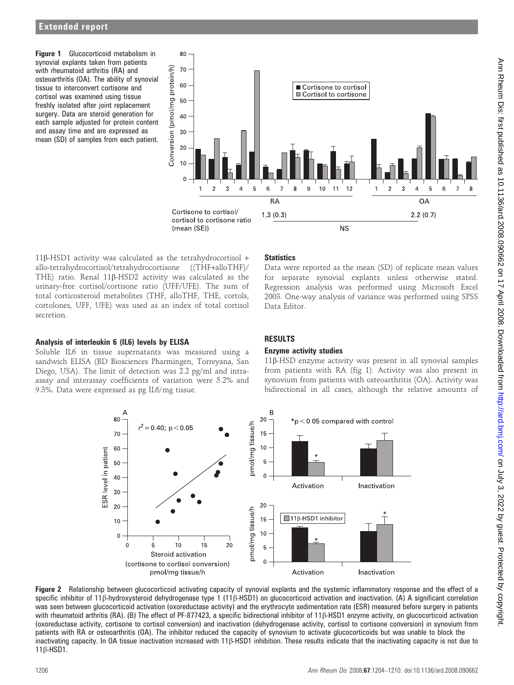Figure 1 Glucocorticoid metabolism in synovial explants taken from patients with rheumatoid arthritis (RA) and osteoarthritis (OA). The ability of synovial tissue to interconvert cortisone and cortisol was examined using tissue freshly isolated after joint replacement surgery. Data are steroid generation for each sample adjusted for protein content and assay time and are expressed as mean (SD) of samples from each patient.



11b-HSD1 activity was calculated as the tetrahydrocortisol + allo-tetrahydrocortisol/tetrahydrocortisone ((THF+alloTHF)/ THE) ratio. Renal 11b-HSD2 activity was calculated as the urinary-free cortisol/cortisone ratio (UFF/UFE). The sum of total corticosteroid metabolites (THF, alloTHF, THE, cortols, cortolones, UFF, UFE) was used as an index of total cortisol secretion.

# **Statistics**

Data were reported as the mean (SD) of replicate mean values for separate synovial explants unless otherwise stated. Regression analysis was performed using Microsoft Excel 2003. One-way analysis of variance was performed using SPSS Data Editor.

#### Analysis of interleukin 6 (IL6) levels by ELISA

Soluble IL6 in tissue supernatants was measured using a sandwich ELISA (BD Biosciences Pharmingen, Torreyana, San Diego, USA). The limit of detection was 2.2 pg/ml and intraassay and interassay coefficients of variation were 5.2% and 9.3%. Data were expressed as pg IL6/mg tissue.

# RESULTS

#### Enzyme activity studies

11b-HSD enzyme activity was present in all synovial samples from patients with RA (fig 1). Activity was also present in synovium from patients with osteoarthritis (OA). Activity was bidirectional in all cases, although the relative amounts of



Figure 2 Relationship between glucocorticoid activating capacity of synovial explants and the systemic inflammatory response and the effect of a specific inhibitor of 11 $\beta$ -hydroxysteroid dehydrogenase type 1 (11 $\beta$ -HSD1) on glucocorticoid activation and inactivation. (A) A significant correlation was seen between glucocorticoid activation (oxoreductase activity) and the erythrocyte sedimentation rate (ESR) measured before surgery in patients with rheumatoid arthritis (RA). (B) The effect of PF-877423, a specific bidirectional inhibitor of 11 $\beta$ -HSD1 enzyme activity, on glucocorticoid activation (oxoreductase activity, cortisone to cortisol conversion) and inactivation (dehydrogenase activity, cortisol to cortisone conversion) in synovium from patients with RA or osteoarthritis (OA). The inhibitor reduced the capacity of synovium to activate glucocorticoids but was unable to block the inactivating capacity. In OA tissue inactivation increased with 11 $\beta$ -HSD1 inhibition. These results indicate that the inactivating capacity is not due to  $11\beta$ -HSD1.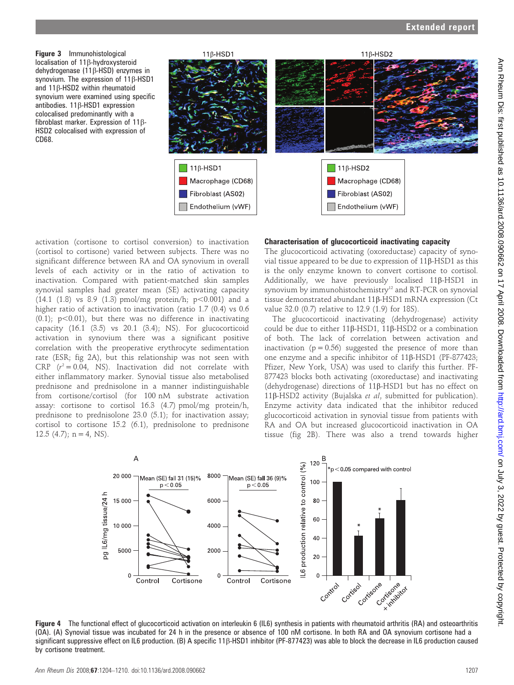Figure 3 Immunohistological localisation of 11<sub>B</sub>-hydroxysteroid dehydrogenase (11b-HSD) enzymes in synovium. The expression of 11 $\beta$ -HSD1 and  $11\beta$ -HSD2 within rheumatoid synovium were examined using specific antibodies.  $11\beta$ -HSD1 expression colocalised predominantly with a fibroblast marker. Expression of 11b-HSD2 colocalised with expression of CD68.



activation (cortisone to cortisol conversion) to inactivation (cortisol to cortisone) varied between subjects. There was no significant difference between RA and OA synovium in overall levels of each activity or in the ratio of activation to inactivation. Compared with patient-matched skin samples synovial samples had greater mean (SE) activating capacity  $(14.1 \ (1.8) \ vs \ 8.9 \ (1.3) \ pmol/mg protein/h; p<0.001)$  and a higher ratio of activation to inactivation (ratio 1.7 (0.4) vs 0.6  $(0.1)$ ; p $< 0.01$ ), but there was no difference in inactivating capacity (16.1 (3.5) vs 20.1 (3.4); NS). For glucocorticoid activation in synovium there was a significant positive correlation with the preoperative erythrocyte sedimentation rate (ESR; fig 2A), but this relationship was not seen with CRP  $(r^2 = 0.04, \text{ NS})$ . Inactivation did not correlate with either inflammatory marker. Synovial tissue also metabolised prednisone and prednisolone in a manner indistinguishable from cortisone/cortisol (for 100 nM substrate activation assay: cortisone to cortisol 16.3 (4.7) pmol/mg protein/h, prednisone to prednisolone 23.0 (5.1); for inactivation assay; cortisol to cortisone 15.2 (6.1), prednisolone to prednisone 12.5 (4.7);  $n = 4$ , NS).

# Characterisation of glucocorticoid inactivating capacity

The glucocorticoid activating (oxoreductase) capacity of synovial tissue appeared to be due to expression of  $11\beta$ -HSD1 as this is the only enzyme known to convert cortisone to cortisol. Additionally, we have previously localised 11ß-HSD1 in synovium by immunohistochemistry<sup>12</sup> and RT-PCR on synovial tissue demonstrated abundant 11b-HSD1 mRNA expression (Ct value 32.0 (0.7) relative to 12.9 (1.9) for 18S).

The glucocorticoid inactivating (dehydrogenase) activity could be due to either 11b-HSD1, 11b-HSD2 or a combination of both. The lack of correlation between activation and inactivation ( $p = 0.56$ ) suggested the presence of more than one enzyme and a specific inhibitor of  $11\beta$ -HSD1 (PF-877423; Pfizer, New York, USA) was used to clarify this further. PF-877423 blocks both activating (oxoreductase) and inactivating (dehydrogenase) directions of 11b-HSD1 but has no effect on 11b-HSD2 activity (Bujalska et al, submitted for publication). Enzyme activity data indicated that the inhibitor reduced glucocorticoid activation in synovial tissue from patients with RA and OA but increased glucocorticoid inactivation in OA tissue (fig 2B). There was also a trend towards higher



Figure 4 The functional effect of glucocorticoid activation on interleukin 6 (IL6) synthesis in patients with rheumatoid arthritis (RA) and osteoarthritis (OA). (A) Synovial tissue was incubated for 24 h in the presence or absence of 100 nM cortisone. In both RA and OA synovium cortisone had a significant suppressive effect on IL6 production. (B) A specific  $11\beta$ -HSD1 inhibitor (PF-877423) was able to block the decrease in IL6 production caused by cortisone treatment.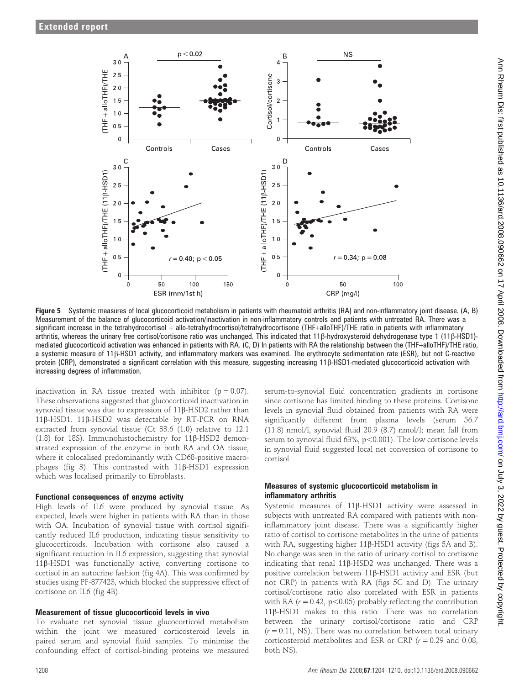

Figure 5 Systemic measures of local glucocorticoid metabolism in patients with rheumatoid arthritis (RA) and non-inflammatory joint disease. (A, B) Measurement of the balance of glucocorticoid activation/inactivation in non-inflammatory controls and patients with untreated RA. There was a significant increase in the tetrahydrocortisol + allo-tetrahydrocortisol/tetrahydrocortisone (THF+alloTHF)/THE ratio in patients with inflammatory arthritis, whereas the urinary free cortisol/cortisone ratio was unchanged. This indicated that 11 $\beta$ -hydroxysteroid dehydrogenase type 1 (11 $\beta$ -HSD1)mediated glucocorticoid activation was enhanced in patients with RA. (C, D) In patients with RA the relationship between the (THF+alloTHF)/THE ratio, a systemic measure of 11b-HSD1 activity, and inflammatory markers was examined. The erythrocyte sedimentation rate (ESR), but not C-reactive protein (CRP), demonstrated a significant correlation with this measure, suggesting increasing 11ß-HSD1-mediated glucocorticoid activation with increasing degrees of inflammation.

inactivation in RA tissue treated with inhibitor  $(p = 0.07)$ . These observations suggested that glucocorticoid inactivation in synovial tissue was due to expression of 11β-HSD2 rather than 11b-HSD1. 11b-HSD2 was detectable by RT-PCR on RNA extracted from synovial tissue (Ct 33.6 (1.0) relative to 12.1 (1.8) for 18S). Immunohistochemistry for  $11\beta$ -HSD2 demonstrated expression of the enzyme in both RA and OA tissue, where it colocalised predominantly with CD68-positive macrophages (fig 3). This contrasted with  $11\beta$ -HSD1 expression which was localised primarily to fibroblasts.

#### Functional consequences of enzyme activity

High levels of IL6 were produced by synovial tissue. As expected, levels were higher in patients with RA than in those with OA. Incubation of synovial tissue with cortisol significantly reduced IL6 production, indicating tissue sensitivity to glucocorticoids. Incubation with cortisone also caused a significant reduction in IL6 expression, suggesting that synovial 11b-HSD1 was functionally active, converting cortisone to cortisol in an autocrine fashion (fig 4A). This was confirmed by studies using PF-877423, which blocked the suppressive effect of cortisone on IL6 (fig 4B).

# Measurement of tissue glucocorticoid levels in vivo

To evaluate net synovial tissue glucocorticoid metabolism within the joint we measured corticosteroid levels in paired serum and synovial fluid samples. To minimise the confounding effect of cortisol-binding proteins we measured

serum-to-synovial fluid concentration gradients in cortisone since cortisone has limited binding to these proteins. Cortisone levels in synovial fluid obtained from patients with RA were significantly different from plasma levels (serum 56.7 (11.8) nmol/l, synovial fluid 20.9 (8.7) nmol/l; mean fall from serum to synovial fluid  $63\%$ ,  $p<0.001$ ). The low cortisone levels in synovial fluid suggested local net conversion of cortisone to cortisol.

#### Measures of systemic glucocorticoid metabolism in inflammatory arthritis

Systemic measures of 11b-HSD1 activity were assessed in subjects with untreated RA compared with patients with noninflammatory joint disease. There was a significantly higher ratio of cortisol to cortisone metabolites in the urine of patients with RA, suggesting higher 11β-HSD1 activity (figs 5A and B). No change was seen in the ratio of urinary cortisol to cortisone indicating that renal 11β-HSD2 was unchanged. There was a positive correlation between 11b-HSD1 activity and ESR (but not CRP) in patients with RA (figs 5C and D). The urinary cortisol/cortisone ratio also correlated with ESR in patients with RA ( $r = 0.42$ ,  $p < 0.05$ ) probably reflecting the contribution 11b-HSD1 makes to this ratio. There was no correlation between the urinary cortisol/cortisone ratio and CRP  $(r = 0.11,$  NS). There was no correlation between total urinary corticosteroid metabolites and ESR or CRP ( $r = 0.29$  and 0.08, both NS).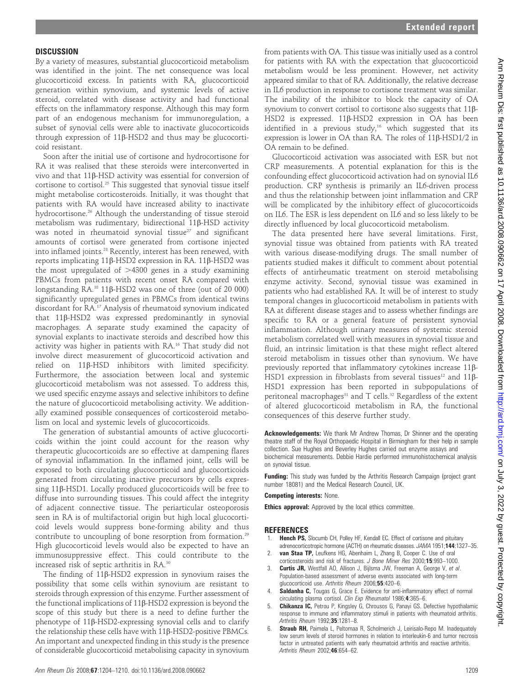# **DISCUSSION**

By a variety of measures, substantial glucocorticoid metabolism was identified in the joint. The net consequence was local glucocorticoid excess. In patients with RA, glucocorticoid generation within synovium, and systemic levels of active steroid, correlated with disease activity and had functional effects on the inflammatory response. Although this may form part of an endogenous mechanism for immunoregulation, a subset of synovial cells were able to inactivate glucocorticoids through expression of 11b-HSD2 and thus may be glucocorticoid resistant.

Soon after the initial use of cortisone and hydrocortisone for RA it was realised that these steroids were interconverted in vivo and that 11b-HSD activity was essential for conversion of cortisone to cortisol.25 This suggested that synovial tissue itself might metabolise corticosteroids. Initially, it was thought that patients with RA would have increased ability to inactivate hydrocortisone.<sup>26</sup> Although the understanding of tissue steroid metabolism was rudimentary, bidirectional  $11\beta$ -HSD activity was noted in rheumatoid synovial tissue<sup>27</sup> and significant amounts of cortisol were generated from cortisone injected into inflamed joints.28 Recently, interest has been renewed, with reports implicating 11b-HSD2 expression in RA. 11b-HSD2 was the most upregulated of  $>4300$  genes in a study examining PBMCs from patients with recent onset RA compared with longstanding  $RA$ <sup>18</sup> 11 $\beta$ -HSD2 was one of three (out of 20 000) significantly upregulated genes in PBMCs from identical twins discordant for RA.17 Analysis of rheumatoid synovium indicated that 11b-HSD2 was expressed predominantly in synovial macrophages. A separate study examined the capacity of synovial explants to inactivate steroids and described how this activity was higher in patients with RA.16 That study did not involve direct measurement of glucocorticoid activation and relied on 11b-HSD inhibitors with limited specificity. Furthermore, the association between local and systemic glucocorticoid metabolism was not assessed. To address this, we used specific enzyme assays and selective inhibitors to define the nature of glucocorticoid metabolising activity. We additionally examined possible consequences of corticosteroid metabolism on local and systemic levels of glucocorticoids.

The generation of substantial amounts of active glucocorticoids within the joint could account for the reason why therapeutic glucocorticoids are so effective at dampening flares of synovial inflammation. In the inflamed joint, cells will be exposed to both circulating glucocorticoid and glucocorticoids generated from circulating inactive precursors by cells expressing 11b-HSD1. Locally produced glucocorticoids will be free to diffuse into surrounding tissues. This could affect the integrity of adjacent connective tissue. The periarticular osteoporosis seen in RA is of multifactorial origin but high local glucocorticoid levels would suppress bone-forming ability and thus contribute to uncoupling of bone resorption from formation.29 High glucocorticoid levels would also be expected to have an immunosuppressive effect. This could contribute to the increased risk of septic arthritis in RA.30

The finding of 11b-HSD2 expression in synovium raises the possibility that some cells within synovium are resistant to steroids through expression of this enzyme. Further assessment of the functional implications of 11b-HSD2 expression is beyond the scope of this study but there is a need to define further the phenotype of 11ß-HSD2-expressing synovial cells and to clarify the relationship these cells have with 11β-HSD2-positive PBMCs. An important and unexpected finding in this study is the presence of considerable glucocorticoid metabolising capacity in synovium

from patients with OA. This tissue was initially used as a control for patients with RA with the expectation that glucocorticoid metabolism would be less prominent. However, net activity appeared similar to that of RA. Additionally, the relative decrease in IL6 production in response to cortisone treatment was similar. The inability of the inhibitor to block the capacity of OA synovium to convert cortisol to cortisone also suggests that 11 $\beta$ -HSD2 is expressed. 11ß-HSD2 expression in OA has been identified in a previous study, $16$  which suggested that its expression is lower in OA than RA. The roles of 11b-HSD1/2 in OA remain to be defined.

Glucocorticoid activation was associated with ESR but not CRP measurements. A potential explanation for this is the confounding effect glucocorticoid activation had on synovial IL6 production. CRP synthesis is primarily an IL6-driven process and thus the relationship between joint inflammation and CRP will be complicated by the inhibitory effect of glucocorticoids on IL6. The ESR is less dependent on IL6 and so less likely to be directly influenced by local glucocorticoid metabolism.

The data presented here have several limitations. First, synovial tissue was obtained from patients with RA treated with various disease-modifying drugs. The small number of patients studied makes it difficult to comment about potential effects of antirheumatic treatment on steroid metabolising enzyme activity. Second, synovial tissue was examined in patients who had established RA. It will be of interest to study temporal changes in glucocorticoid metabolism in patients with RA at different disease stages and to assess whether findings are specific to RA or a general feature of persistent synovial inflammation. Although urinary measures of systemic steroid metabolism correlated well with measures in synovial tissue and fluid, an intrinsic limitation is that these might reflect altered steroid metabolism in tissues other than synovium. We have previously reported that inflammatory cytokines increase 11b-HSD1 expression in fibroblasts from several tissues<sup>12</sup> and  $11\beta$ -HSD1 expression has been reported in subpopulations of peritoneal macrophages $31$  and T cells. $32$  Regardless of the extent of altered glucocorticoid metabolism in RA, the functional consequences of this deserve further study.

Acknowledgements: We thank Mr Andrew Thomas, Dr Shinner and the operating theatre staff of the Royal Orthopaedic Hospital in Birmingham for their help in sample collection. Sue Hughes and Beverley Hughes carried out enzyme assays and biochemical measurements. Debbie Hardie performed immunohistochemical analysis on synovial tissue.

Funding: This study was funded by the Arthritis Research Campaign (project grant number 18081) and the Medical Research Council, UK.

Competing interests: None.

Ethics approval: Approved by the local ethics committee.

#### REFERENCES

- Hench PS, Slocumb CH, Polley HF, Kendall EC. Effect of cortisone and pituitary adrenocorticotropic hormone (ACTH) on rheumatic diseases. JAMA 1951;144:1327–35.
- 2. van Staa TP, Leufkens HG, Abenhaim L, Zhang B, Cooper C. Use of oral corticosteroids and risk of fractures. J Bone Miner Res 2000;15:993–1000.
- Curtis JR, Westfall AO, Allison J, Bijlsma JW, Freeman A, George V, et al. Population-based assessment of adverse events associated with long-term glucocorticoid use. Arthritis Rheum 2006;55:420-6.
- Saldanha C, Tougas G, Grace E. Evidence for anti-inflammatory effect of normal circulating plasma cortisol. Clin Exp Rheumatol 1986;4:365–6.
- 5. Chikanza IC, Petrou P, Kingsley G, Chrousos G, Panayi GS. Defective hypothalamic response to immune and inflammatory stimuli in patients with rheumatoid arthritis. Arthritis Rheum 1992;35:1281–8.
- Straub RH, Paimela L, Peltomaa R, Scholmerich J, Leirisalo-Repo M. Inadequately low serum levels of steroid hormones in relation to interleukin-6 and tumor necrosis factor in untreated patients with early rheumatoid arthritis and reactive arthritis Arthritis Rheum 2002;46:654–62.